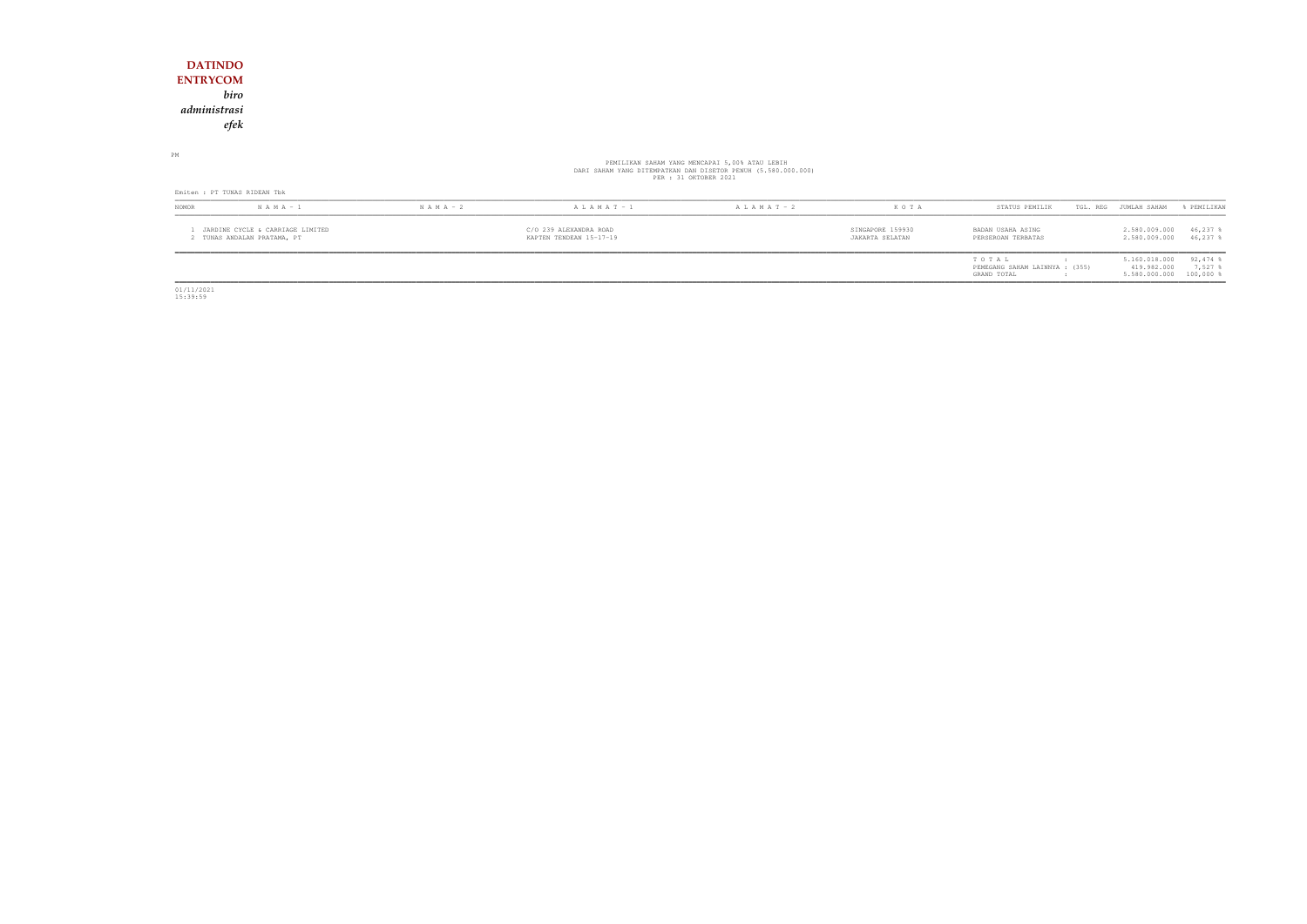## **DATINDO ENTRYCOM** *biro administrasiefek*

PM

# PEMILIKAN SAHAM YANG MENCAPAI 5,00% ATAU LEBIH<br>DARI SAHAM YANG DITEMPATKAN DAN DISETOR PENUH (5.580.000.000)<br>PER : 31 OKTOBER 2021

| Emiten : PT TUNAS RIDEAN Tbk |                                                               |               |                                                   |                 |                                     |                                                        |                                               |                                      |  |  |
|------------------------------|---------------------------------------------------------------|---------------|---------------------------------------------------|-----------------|-------------------------------------|--------------------------------------------------------|-----------------------------------------------|--------------------------------------|--|--|
| <b>NOMOR</b>                 | $N A M A - 1$                                                 | $N A M A - 2$ | $A L A M A T - 1$                                 | A L A M A T - 2 | KOTA                                | STATUS PEMILIK                                         | TGL. REG JUMLAH SAHAM                         | & PEMILIKAN                          |  |  |
|                              | JARDINE CYCLE & CARRIAGE LIMITED<br>TUNAS ANDALAN PRATAMA, PT |               | C/O 239 ALEXANDRA ROAD<br>KAPTEN TENDEAN 15-17-19 |                 | SINGAPORE 159930<br>JAKARTA SELATAN | BADAN USAHA ASING<br>PERSEROAN TERBATAS                | 2.580.009.000<br>2.580.009.000                | 46,237<br>46,237 \$                  |  |  |
|                              |                                                               |               |                                                   |                 |                                     | TOTAL<br>PEMEGANG SAHAM LAINNYA : (355)<br>GRAND TOTAL | 5.160.018.000<br>419.982.000<br>5.580.000.000 | $92,474$ \$<br>7,527<br>$100,000$ \$ |  |  |

01/11/2021 15:39:59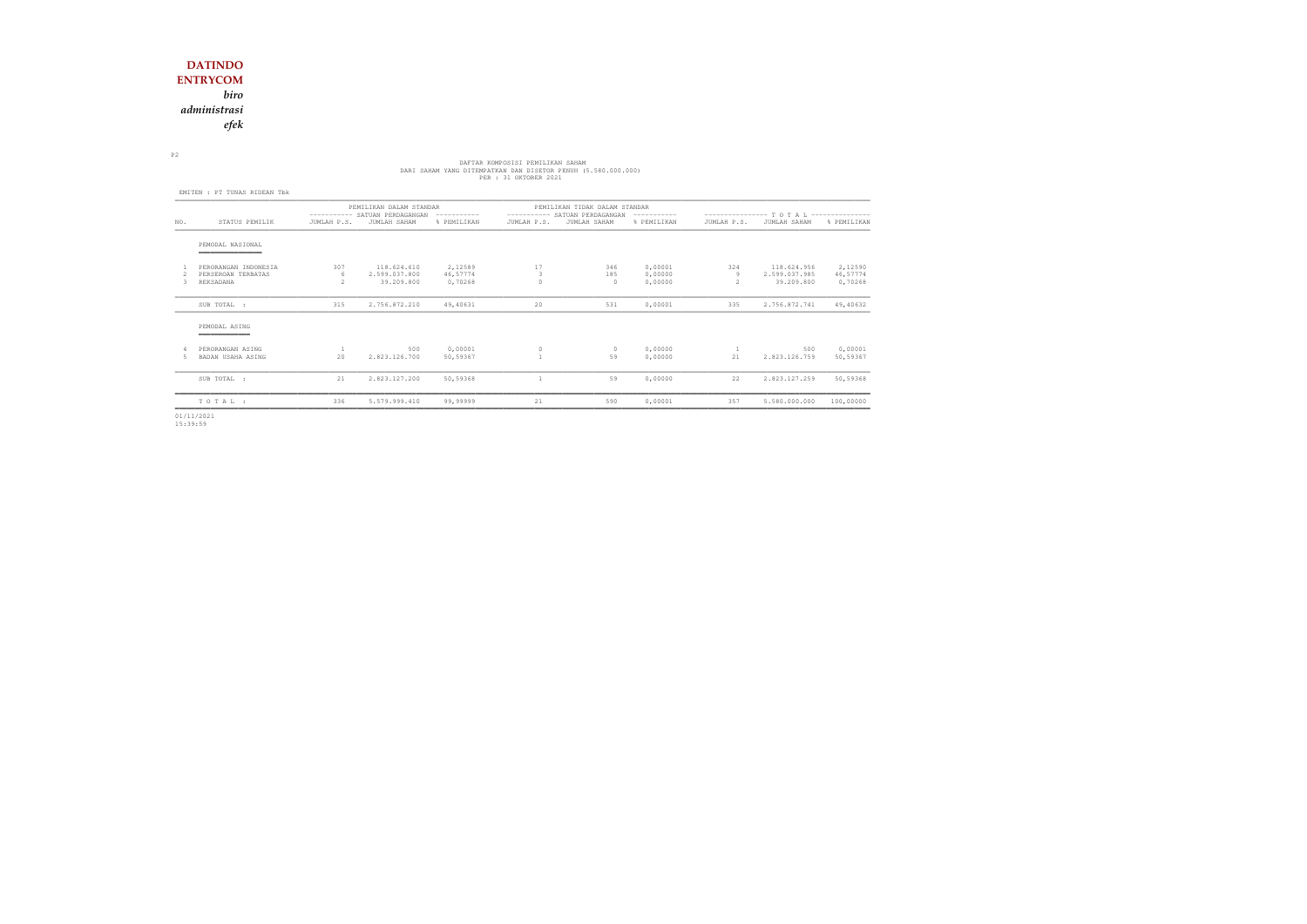*biro*

*administrasi*

*efek*

# DARI SAHAM YANG DITEMPATKAN DAN DISETOR PEMILIKAN SAHAM<br>DARI SAHAM YANG DITEMPATKAN DAN DISETOR PENUH (5.580.000.000)<br>PER : 31 OKTOBER 2021

P2

|     | EMITEN : PT TUNAS RIDEAN Tbk               |                          |                                                          |                     |             |                                                                |                    |                                            |                              |                     |
|-----|--------------------------------------------|--------------------------|----------------------------------------------------------|---------------------|-------------|----------------------------------------------------------------|--------------------|--------------------------------------------|------------------------------|---------------------|
|     |                                            |                          | PEMILIKAN DALAM STANDAR<br>---------- SATUAN PERDAGANGAN | ------------        |             | PEMILIKAN TIDAK DALAM STANDAR<br>---------- SATUAN PERDAGANGAN | -----------        | ---------------- T O T A L --------------- |                              |                     |
| NO. | STATUS PEMILIK                             | JUMLAH P.S.              | JUMLAH SAHAM                                             | % PEMILIKAN         | JUMLAH P.S. | JUMLAH SAHAM                                                   | % PEMILIKAN        | JUMLAH P.S.                                | JUMLAH SAHAM                 | % PEMILIKAN         |
|     | PEMODAL NASIONAL<br>_____________          |                          |                                                          |                     |             |                                                                |                    |                                            |                              |                     |
|     | PERORANGAN INDONESIA<br>PERSEROAN TERBATAS | 307<br>6                 | 118.624.610<br>2.599.037.800                             | 2,12589<br>46,57774 | 17<br>3     | 346<br>185                                                     | 0,00001<br>0,00000 | 324<br>9                                   | 118.624.956<br>2.599.037.985 | 2,12590<br>46,57774 |
|     | REKSADANA                                  | $\overline{\mathcal{L}}$ | 39.209.800                                               | 0,70268             |             | $\Omega$                                                       | 0,00000            | 2                                          | 39.209.800                   | 0,70268             |
|     | SUB TOTAL :                                | 315                      | 2.756.872.210                                            | 49,40631            | 20          | 531                                                            | 0,00001            | 335                                        | 2.756.872.741                | 49,40632            |
|     | PEMODAL ASING                              |                          |                                                          |                     |             |                                                                |                    |                                            |                              |                     |
|     | PERORANGAN ASING<br>BADAN USAHA ASING      | 1<br>20                  | 500<br>2.823.126.700                                     | 0,00001<br>50,59367 | $\circ$     | $\circ$<br>59                                                  | 0,00000<br>0,00000 | 1<br>21                                    | 500<br>2.823.126.759         | 0,00001<br>50,59367 |
|     | SUB TOTAL :                                | 21                       | 2.823.127.200                                            | 50,59368            | 1           | 59                                                             | 0,00000            | 22                                         | 2.823.127.259                | 50,59368            |
|     | TOTAL:                                     | 336                      | 5.579.999.410                                            | 99,99999            | 21          | 590                                                            | 0,00001            | 357                                        | 5.580.000.000                | 100,00000           |
|     |                                            |                          |                                                          |                     |             |                                                                |                    |                                            |                              |                     |

01/11/2021 15:39:59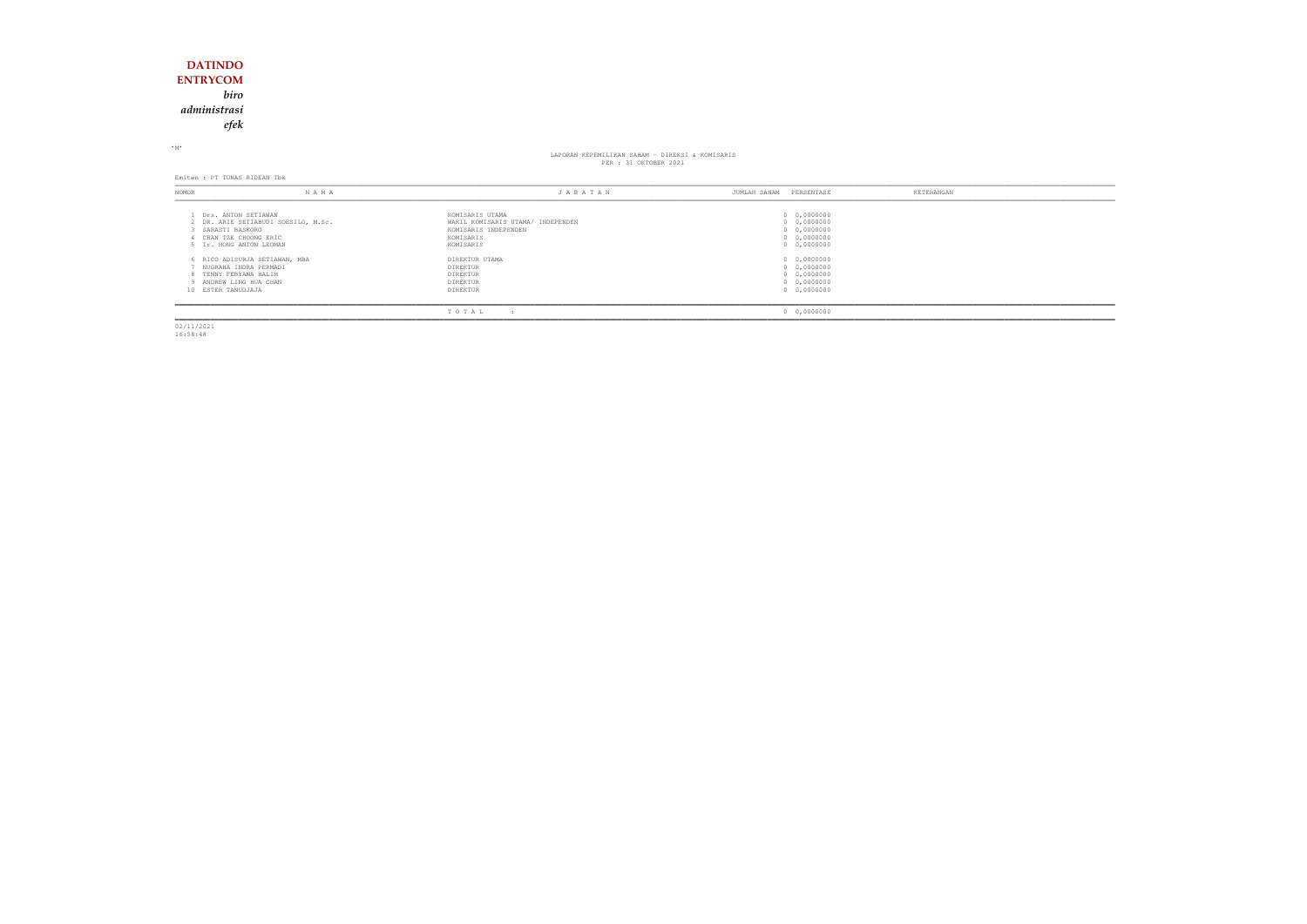## **DATINDO ENTRYCOM** *biroadministrasi*

*efek*

<sup>M</sup>

# LAPORAN KEPEMILIKAN SAHAM KEPEMILIKAN SAHAM - DIREKSI & KOMISARIS<br>PER : 31 OKTOBER 2021

Emiten : PT TUNAS RIDEAN Tbk

| NOMOR                                                                                          | N A M A                             | JABATAN                                                                                                | PERSENTASE<br>JUMLAH SAHAM                                                      | KETERANGAN |
|------------------------------------------------------------------------------------------------|-------------------------------------|--------------------------------------------------------------------------------------------------------|---------------------------------------------------------------------------------|------------|
| 1 Drs. ANTON SETIAWAN<br>3 SARASTI BASKORO<br>CHAN TZE CHOONG ERIC<br>5 Ir. HONG ANTON LEOMAN  | 2 DR. ARIE SETIABUDI SOESILO, M.Sc. | KOMISARIS UTAMA<br>WAKIL KOMISARIS UTAMA/ INDEPENDEN<br>KOMISARIS INDEPENDEN<br>KOMISARIS<br>KOMISARIS | 0 0,0000000<br>0 0,0000000<br>0 0,0000000<br>$0 \quad 0,0000000$<br>0 0,0000000 |            |
| NUGRAHA INDRA PERMADI<br>8 TENNY FEBYANA HALIM<br>9 ANDREW LING HUA CHAN<br>10 ESTER TANUDJAJA | 6 RICO ADISURJA SETIAWAN, MBA       | DIREKTUR UTAMA<br>DIREKTUR<br>DIREKTUR<br>DIREKTUR<br>DIREKTUR                                         | 0 0,0000000<br>0 0,0000000<br>0 0,0000000<br>0 0,0000000<br>0 0,0000000         |            |
|                                                                                                |                                     | TOTAL<br>$\overline{\phantom{a}}$                                                                      | 0 0,0000000                                                                     |            |

02/11/2021 16:58:48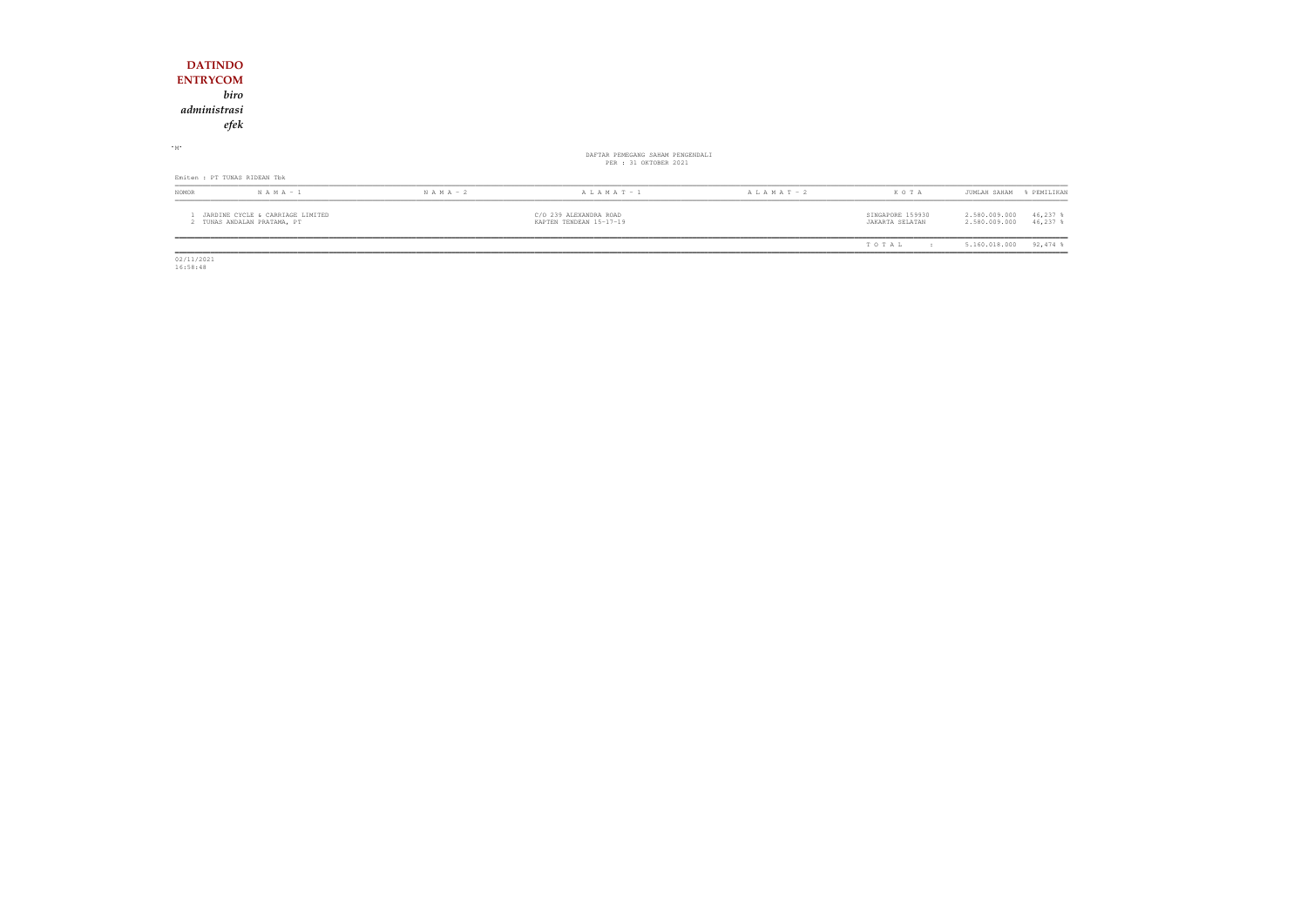| <b>DATINDO</b><br><b>ENTRYCOM</b><br>administrasi | biro<br>efek                                                    |               |                                                           |                 |                                     |                                                            |
|---------------------------------------------------|-----------------------------------------------------------------|---------------|-----------------------------------------------------------|-----------------|-------------------------------------|------------------------------------------------------------|
| $\cdot$ M $\cdot$                                 |                                                                 |               | DAFTAR PEMEGANG SAHAM PENGENDALI<br>PER : 31 OKTOBER 2021 |                 |                                     |                                                            |
|                                                   | Emiten : PT TUNAS RIDEAN Tbk                                    |               |                                                           |                 |                                     |                                                            |
| NOMOR                                             | $N A M A - 1$                                                   | $N A M A - 2$ | $A L A M A T - 1$                                         | A L A M A T - 2 | KOTA                                | JUMLAH SAHAM<br>% PEMILIKAN                                |
|                                                   | JARDINE CYCLE & CARRIAGE LIMITED<br>2 TUNAS ANDALAN PRATAMA, PT |               | C/O 239 ALEXANDRA ROAD<br>KAPTEN TENDEAN 15-17-19         |                 | SINGAPORE 159930<br>JAKARTA SELATAN | 2.580.009.000<br>$46,237$ %<br>2.580.009.000<br>$46,237$ % |
|                                                   |                                                                 |               |                                                           |                 | TOTAL<br>$\cdot$ :                  | $92,474$ %<br>5.160.018.000                                |

 $\begin{array}{r} \hline \hline 02/11/2021 \\ 16:58:48 \end{array}$